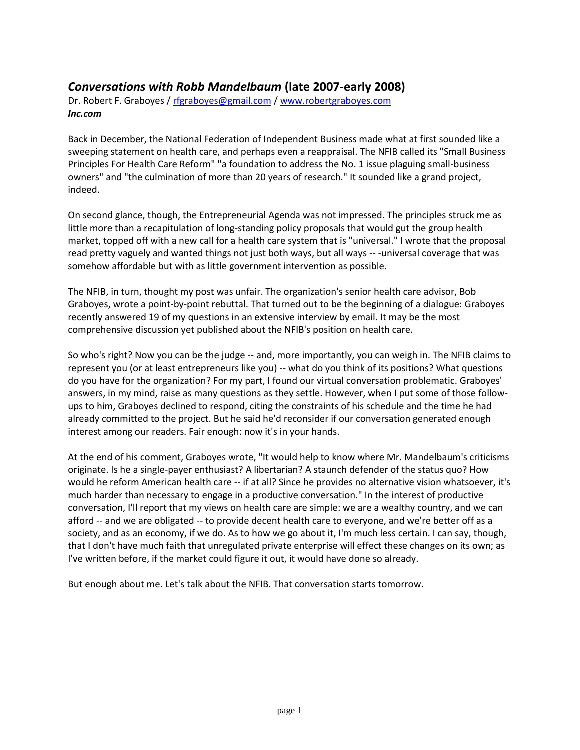# *Conversations with Robb Mandelbaum* **(late 2007-early 2008)**

Dr. Robert F. Graboyes / [rfgraboyes@gmail.com](mailto:rfgraboyes@gmail.com) / [www.robertgraboyes.com](http://www.robertgraboyes.com/) *Inc.com*

Back in December, the National Federation of Independent Business made what at first sounded like a sweeping statement on health care, and perhaps even a reappraisal. The NFIB called its "Small Business Principles For Health Care Reform" "a foundation to address the No. 1 issue plaguing small-business owners" and "the culmination of more than 20 years of research." It sounded like a grand project, indeed.

On second glance, though, the Entrepreneurial Agenda was not impressed. The principles struck me as little more than a recapitulation of long-standing policy proposals that would gut the group health market, topped off with a new call for a health care system that is "universal." I wrote that the proposal read pretty vaguely and wanted things not just both ways, but all ways -- -universal coverage that was somehow affordable but with as little government intervention as possible.

The NFIB, in turn, thought my post was unfair. The organization's senior health care advisor, Bob Graboyes, wrote a point-by-point rebuttal. That turned out to be the beginning of a dialogue: Graboyes recently answered 19 of my questions in an extensive interview by email. It may be the most comprehensive discussion yet published about the NFIB's position on health care.

So who's right? Now you can be the judge -- and, more importantly, you can weigh in. The NFIB claims to represent you (or at least entrepreneurs like you) -- what do you think of its positions? What questions do you have for the organization? For my part, I found our virtual conversation problematic. Graboyes' answers, in my mind, raise as many questions as they settle. However, when I put some of those followups to him, Graboyes declined to respond, citing the constraints of his schedule and the time he had already committed to the project. But he said he'd reconsider if our conversation generated enough interest among our readers. Fair enough: now it's in your hands.

At the end of his comment, Graboyes wrote, "It would help to know where Mr. Mandelbaum's criticisms originate. Is he a single-payer enthusiast? A libertarian? A staunch defender of the status quo? How would he reform American health care -- if at all? Since he provides no alternative vision whatsoever, it's much harder than necessary to engage in a productive conversation." In the interest of productive conversation, I'll report that my views on health care are simple: we are a wealthy country, and we can afford -- and we are obligated -- to provide decent health care to everyone, and we're better off as a society, and as an economy, if we do. As to how we go about it, I'm much less certain. I can say, though, that I don't have much faith that unregulated private enterprise will effect these changes on its own; as I've written before, if the market could figure it out, it would have done so already.

But enough about me. Let's talk about the NFIB. That conversation starts tomorrow.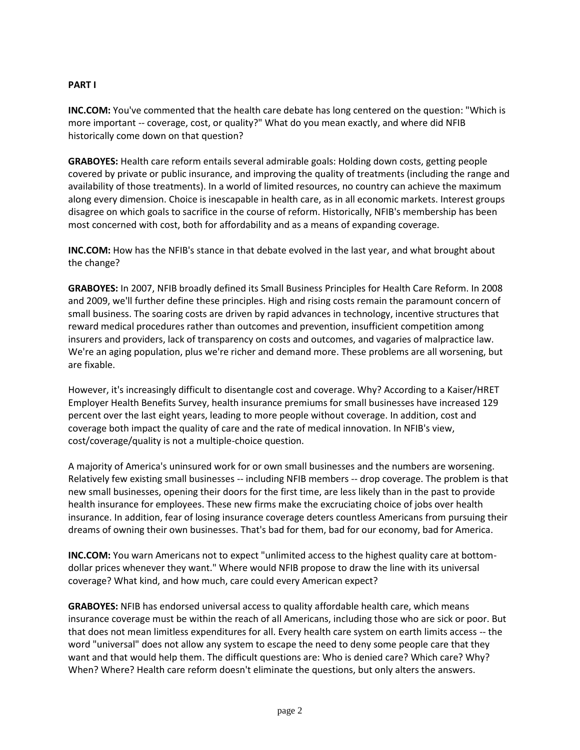# **PART I**

**INC.COM:** You've commented that the health care debate has long centered on the question: "Which is more important -- coverage, cost, or quality?" What do you mean exactly, and where did NFIB historically come down on that question?

**GRABOYES:** Health care reform entails several admirable goals: Holding down costs, getting people covered by private or public insurance, and improving the quality of treatments (including the range and availability of those treatments). In a world of limited resources, no country can achieve the maximum along every dimension. Choice is inescapable in health care, as in all economic markets. Interest groups disagree on which goals to sacrifice in the course of reform. Historically, NFIB's membership has been most concerned with cost, both for affordability and as a means of expanding coverage.

**INC.COM:** How has the NFIB's stance in that debate evolved in the last year, and what brought about the change?

**GRABOYES:** In 2007, NFIB broadly defined its Small Business Principles for Health Care Reform. In 2008 and 2009, we'll further define these principles. High and rising costs remain the paramount concern of small business. The soaring costs are driven by rapid advances in technology, incentive structures that reward medical procedures rather than outcomes and prevention, insufficient competition among insurers and providers, lack of transparency on costs and outcomes, and vagaries of malpractice law. We're an aging population, plus we're richer and demand more. These problems are all worsening, but are fixable.

However, it's increasingly difficult to disentangle cost and coverage. Why? According to a Kaiser/HRET Employer Health Benefits Survey, health insurance premiums for small businesses have increased 129 percent over the last eight years, leading to more people without coverage. In addition, cost and coverage both impact the quality of care and the rate of medical innovation. In NFIB's view, cost/coverage/quality is not a multiple-choice question.

A majority of America's uninsured work for or own small businesses and the numbers are worsening. Relatively few existing small businesses -- including NFIB members -- drop coverage. The problem is that new small businesses, opening their doors for the first time, are less likely than in the past to provide health insurance for employees. These new firms make the excruciating choice of jobs over health insurance. In addition, fear of losing insurance coverage deters countless Americans from pursuing their dreams of owning their own businesses. That's bad for them, bad for our economy, bad for America.

**INC.COM:** You warn Americans not to expect "unlimited access to the highest quality care at bottomdollar prices whenever they want." Where would NFIB propose to draw the line with its universal coverage? What kind, and how much, care could every American expect?

**GRABOYES:** NFIB has endorsed universal access to quality affordable health care, which means insurance coverage must be within the reach of all Americans, including those who are sick or poor. But that does not mean limitless expenditures for all. Every health care system on earth limits access -- the word "universal" does not allow any system to escape the need to deny some people care that they want and that would help them. The difficult questions are: Who is denied care? Which care? Why? When? Where? Health care reform doesn't eliminate the questions, but only alters the answers.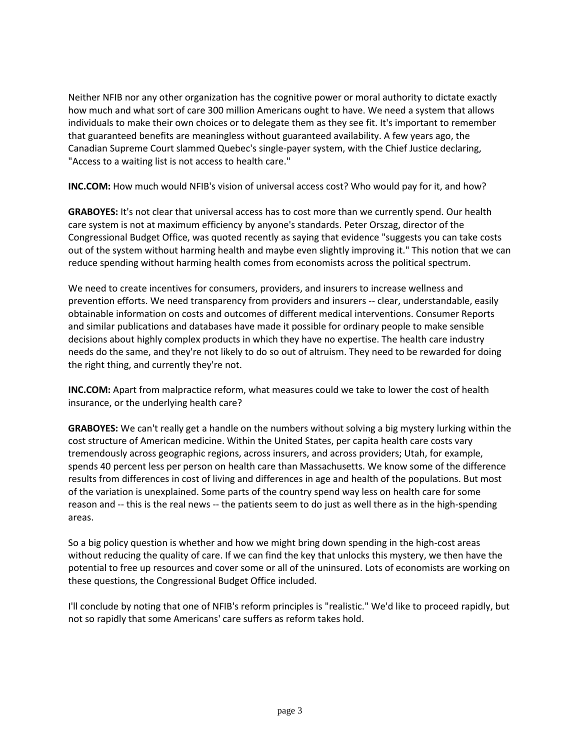Neither NFIB nor any other organization has the cognitive power or moral authority to dictate exactly how much and what sort of care 300 million Americans ought to have. We need a system that allows individuals to make their own choices or to delegate them as they see fit. It's important to remember that guaranteed benefits are meaningless without guaranteed availability. A few years ago, the Canadian Supreme Court slammed Quebec's single-payer system, with the Chief Justice declaring, "Access to a waiting list is not access to health care."

**INC.COM:** How much would NFIB's vision of universal access cost? Who would pay for it, and how?

**GRABOYES:** It's not clear that universal access has to cost more than we currently spend. Our health care system is not at maximum efficiency by anyone's standards. Peter Orszag, director of the Congressional Budget Office, was quoted recently as saying that evidence "suggests you can take costs out of the system without harming health and maybe even slightly improving it." This notion that we can reduce spending without harming health comes from economists across the political spectrum.

We need to create incentives for consumers, providers, and insurers to increase wellness and prevention efforts. We need transparency from providers and insurers -- clear, understandable, easily obtainable information on costs and outcomes of different medical interventions. Consumer Reports and similar publications and databases have made it possible for ordinary people to make sensible decisions about highly complex products in which they have no expertise. The health care industry needs do the same, and they're not likely to do so out of altruism. They need to be rewarded for doing the right thing, and currently they're not.

**INC.COM:** Apart from malpractice reform, what measures could we take to lower the cost of health insurance, or the underlying health care?

**GRABOYES:** We can't really get a handle on the numbers without solving a big mystery lurking within the cost structure of American medicine. Within the United States, per capita health care costs vary tremendously across geographic regions, across insurers, and across providers; Utah, for example, spends 40 percent less per person on health care than Massachusetts. We know some of the difference results from differences in cost of living and differences in age and health of the populations. But most of the variation is unexplained. Some parts of the country spend way less on health care for some reason and -- this is the real news -- the patients seem to do just as well there as in the high-spending areas.

So a big policy question is whether and how we might bring down spending in the high-cost areas without reducing the quality of care. If we can find the key that unlocks this mystery, we then have the potential to free up resources and cover some or all of the uninsured. Lots of economists are working on these questions, the Congressional Budget Office included.

I'll conclude by noting that one of NFIB's reform principles is "realistic." We'd like to proceed rapidly, but not so rapidly that some Americans' care suffers as reform takes hold.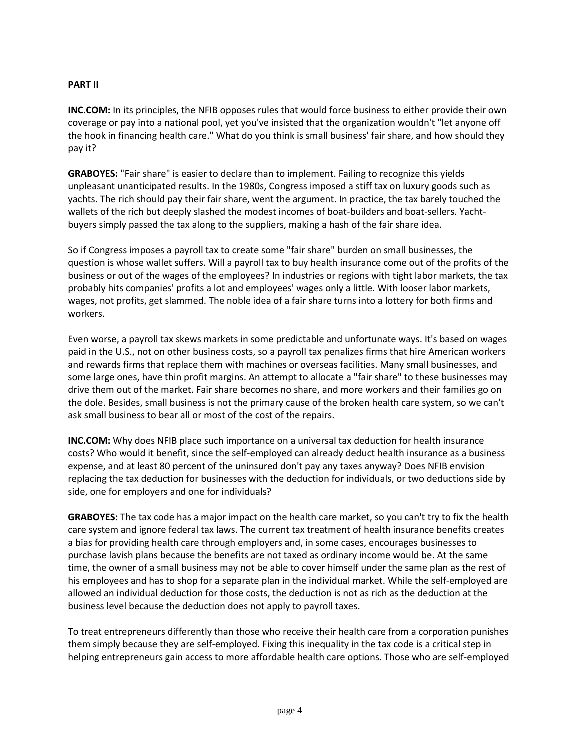# **PART II**

**INC.COM:** In its principles, the NFIB opposes rules that would force business to either provide their own coverage or pay into a national pool, yet you've insisted that the organization wouldn't "let anyone off the hook in financing health care." What do you think is small business' fair share, and how should they pay it?

**GRABOYES:** "Fair share" is easier to declare than to implement. Failing to recognize this yields unpleasant unanticipated results. In the 1980s, Congress imposed a stiff tax on luxury goods such as yachts. The rich should pay their fair share, went the argument. In practice, the tax barely touched the wallets of the rich but deeply slashed the modest incomes of boat-builders and boat-sellers. Yachtbuyers simply passed the tax along to the suppliers, making a hash of the fair share idea.

So if Congress imposes a payroll tax to create some "fair share" burden on small businesses, the question is whose wallet suffers. Will a payroll tax to buy health insurance come out of the profits of the business or out of the wages of the employees? In industries or regions with tight labor markets, the tax probably hits companies' profits a lot and employees' wages only a little. With looser labor markets, wages, not profits, get slammed. The noble idea of a fair share turns into a lottery for both firms and workers.

Even worse, a payroll tax skews markets in some predictable and unfortunate ways. It's based on wages paid in the U.S., not on other business costs, so a payroll tax penalizes firms that hire American workers and rewards firms that replace them with machines or overseas facilities. Many small businesses, and some large ones, have thin profit margins. An attempt to allocate a "fair share" to these businesses may drive them out of the market. Fair share becomes no share, and more workers and their families go on the dole. Besides, small business is not the primary cause of the broken health care system, so we can't ask small business to bear all or most of the cost of the repairs.

**INC.COM:** Why does NFIB place such importance on a universal tax deduction for health insurance costs? Who would it benefit, since the self-employed can already deduct health insurance as a business expense, and at least 80 percent of the uninsured don't pay any taxes anyway? Does NFIB envision replacing the tax deduction for businesses with the deduction for individuals, or two deductions side by side, one for employers and one for individuals?

**GRABOYES:** The tax code has a major impact on the health care market, so you can't try to fix the health care system and ignore federal tax laws. The current tax treatment of health insurance benefits creates a bias for providing health care through employers and, in some cases, encourages businesses to purchase lavish plans because the benefits are not taxed as ordinary income would be. At the same time, the owner of a small business may not be able to cover himself under the same plan as the rest of his employees and has to shop for a separate plan in the individual market. While the self-employed are allowed an individual deduction for those costs, the deduction is not as rich as the deduction at the business level because the deduction does not apply to payroll taxes.

To treat entrepreneurs differently than those who receive their health care from a corporation punishes them simply because they are self-employed. Fixing this inequality in the tax code is a critical step in helping entrepreneurs gain access to more affordable health care options. Those who are self-employed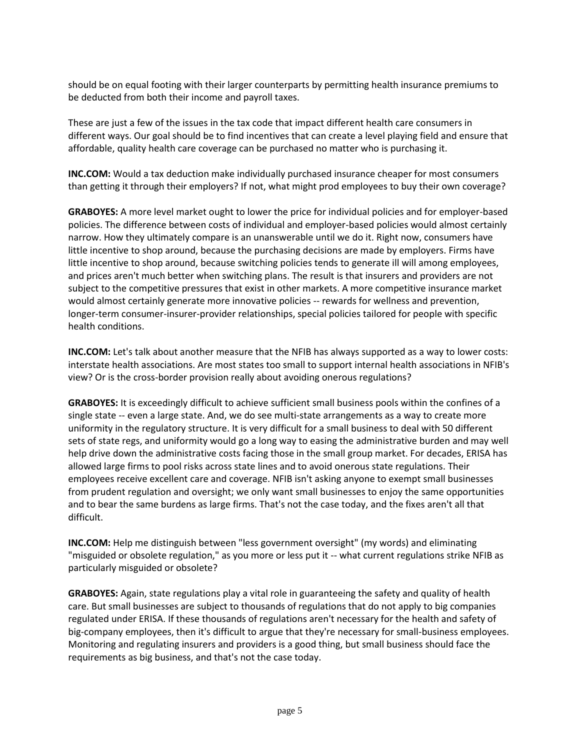should be on equal footing with their larger counterparts by permitting health insurance premiums to be deducted from both their income and payroll taxes.

These are just a few of the issues in the tax code that impact different health care consumers in different ways. Our goal should be to find incentives that can create a level playing field and ensure that affordable, quality health care coverage can be purchased no matter who is purchasing it.

**INC.COM:** Would a tax deduction make individually purchased insurance cheaper for most consumers than getting it through their employers? If not, what might prod employees to buy their own coverage?

**GRABOYES:** A more level market ought to lower the price for individual policies and for employer-based policies. The difference between costs of individual and employer-based policies would almost certainly narrow. How they ultimately compare is an unanswerable until we do it. Right now, consumers have little incentive to shop around, because the purchasing decisions are made by employers. Firms have little incentive to shop around, because switching policies tends to generate ill will among employees, and prices aren't much better when switching plans. The result is that insurers and providers are not subject to the competitive pressures that exist in other markets. A more competitive insurance market would almost certainly generate more innovative policies -- rewards for wellness and prevention, longer-term consumer-insurer-provider relationships, special policies tailored for people with specific health conditions.

**INC.COM:** Let's talk about another measure that the NFIB has always supported as a way to lower costs: interstate health associations. Are most states too small to support internal health associations in NFIB's view? Or is the cross-border provision really about avoiding onerous regulations?

**GRABOYES:** It is exceedingly difficult to achieve sufficient small business pools within the confines of a single state -- even a large state. And, we do see multi-state arrangements as a way to create more uniformity in the regulatory structure. It is very difficult for a small business to deal with 50 different sets of state regs, and uniformity would go a long way to easing the administrative burden and may well help drive down the administrative costs facing those in the small group market. For decades, ERISA has allowed large firms to pool risks across state lines and to avoid onerous state regulations. Their employees receive excellent care and coverage. NFIB isn't asking anyone to exempt small businesses from prudent regulation and oversight; we only want small businesses to enjoy the same opportunities and to bear the same burdens as large firms. That's not the case today, and the fixes aren't all that difficult.

**INC.COM:** Help me distinguish between "less government oversight" (my words) and eliminating "misguided or obsolete regulation," as you more or less put it -- what current regulations strike NFIB as particularly misguided or obsolete?

**GRABOYES:** Again, state regulations play a vital role in guaranteeing the safety and quality of health care. But small businesses are subject to thousands of regulations that do not apply to big companies regulated under ERISA. If these thousands of regulations aren't necessary for the health and safety of big-company employees, then it's difficult to argue that they're necessary for small-business employees. Monitoring and regulating insurers and providers is a good thing, but small business should face the requirements as big business, and that's not the case today.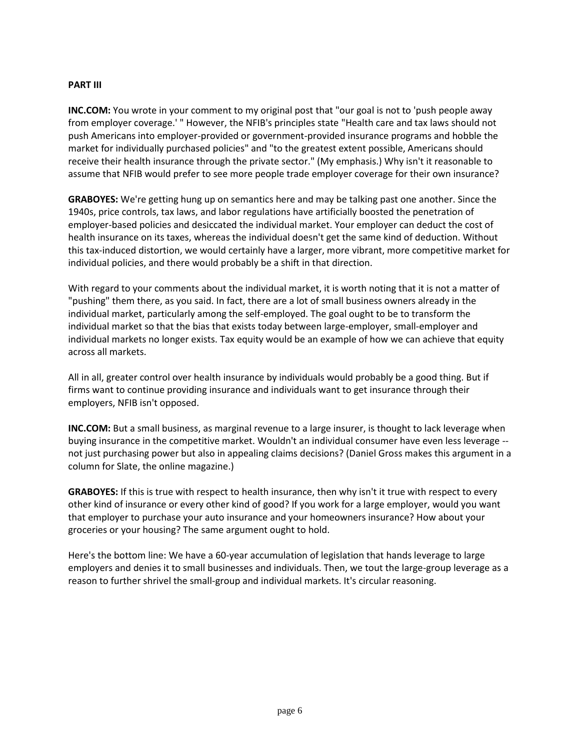#### **PART III**

**INC.COM:** You wrote in your comment to my original post that "our goal is not to 'push people away from employer coverage.' " However, the NFIB's principles state "Health care and tax laws should not push Americans into employer-provided or government-provided insurance programs and hobble the market for individually purchased policies" and "to the greatest extent possible, Americans should receive their health insurance through the private sector." (My emphasis.) Why isn't it reasonable to assume that NFIB would prefer to see more people trade employer coverage for their own insurance?

**GRABOYES:** We're getting hung up on semantics here and may be talking past one another. Since the 1940s, price controls, tax laws, and labor regulations have artificially boosted the penetration of employer-based policies and desiccated the individual market. Your employer can deduct the cost of health insurance on its taxes, whereas the individual doesn't get the same kind of deduction. Without this tax-induced distortion, we would certainly have a larger, more vibrant, more competitive market for individual policies, and there would probably be a shift in that direction.

With regard to your comments about the individual market, it is worth noting that it is not a matter of "pushing" them there, as you said. In fact, there are a lot of small business owners already in the individual market, particularly among the self-employed. The goal ought to be to transform the individual market so that the bias that exists today between large-employer, small-employer and individual markets no longer exists. Tax equity would be an example of how we can achieve that equity across all markets.

All in all, greater control over health insurance by individuals would probably be a good thing. But if firms want to continue providing insurance and individuals want to get insurance through their employers, NFIB isn't opposed.

**INC.COM:** But a small business, as marginal revenue to a large insurer, is thought to lack leverage when buying insurance in the competitive market. Wouldn't an individual consumer have even less leverage - not just purchasing power but also in appealing claims decisions? (Daniel Gross makes this argument in a column for Slate, the online magazine.)

**GRABOYES:** If this is true with respect to health insurance, then why isn't it true with respect to every other kind of insurance or every other kind of good? If you work for a large employer, would you want that employer to purchase your auto insurance and your homeowners insurance? How about your groceries or your housing? The same argument ought to hold.

Here's the bottom line: We have a 60-year accumulation of legislation that hands leverage to large employers and denies it to small businesses and individuals. Then, we tout the large-group leverage as a reason to further shrivel the small-group and individual markets. It's circular reasoning.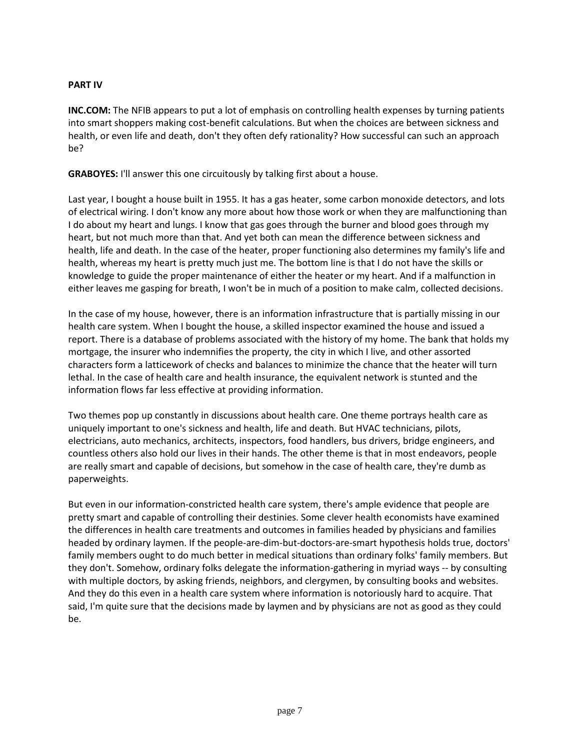# **PART IV**

**INC.COM:** The NFIB appears to put a lot of emphasis on controlling health expenses by turning patients into smart shoppers making cost-benefit calculations. But when the choices are between sickness and health, or even life and death, don't they often defy rationality? How successful can such an approach be?

**GRABOYES:** I'll answer this one circuitously by talking first about a house.

Last year, I bought a house built in 1955. It has a gas heater, some carbon monoxide detectors, and lots of electrical wiring. I don't know any more about how those work or when they are malfunctioning than I do about my heart and lungs. I know that gas goes through the burner and blood goes through my heart, but not much more than that. And yet both can mean the difference between sickness and health, life and death. In the case of the heater, proper functioning also determines my family's life and health, whereas my heart is pretty much just me. The bottom line is that I do not have the skills or knowledge to guide the proper maintenance of either the heater or my heart. And if a malfunction in either leaves me gasping for breath, I won't be in much of a position to make calm, collected decisions.

In the case of my house, however, there is an information infrastructure that is partially missing in our health care system. When I bought the house, a skilled inspector examined the house and issued a report. There is a database of problems associated with the history of my home. The bank that holds my mortgage, the insurer who indemnifies the property, the city in which I live, and other assorted characters form a latticework of checks and balances to minimize the chance that the heater will turn lethal. In the case of health care and health insurance, the equivalent network is stunted and the information flows far less effective at providing information.

Two themes pop up constantly in discussions about health care. One theme portrays health care as uniquely important to one's sickness and health, life and death. But HVAC technicians, pilots, electricians, auto mechanics, architects, inspectors, food handlers, bus drivers, bridge engineers, and countless others also hold our lives in their hands. The other theme is that in most endeavors, people are really smart and capable of decisions, but somehow in the case of health care, they're dumb as paperweights.

But even in our information-constricted health care system, there's ample evidence that people are pretty smart and capable of controlling their destinies. Some clever health economists have examined the differences in health care treatments and outcomes in families headed by physicians and families headed by ordinary laymen. If the people-are-dim-but-doctors-are-smart hypothesis holds true, doctors' family members ought to do much better in medical situations than ordinary folks' family members. But they don't. Somehow, ordinary folks delegate the information-gathering in myriad ways -- by consulting with multiple doctors, by asking friends, neighbors, and clergymen, by consulting books and websites. And they do this even in a health care system where information is notoriously hard to acquire. That said, I'm quite sure that the decisions made by laymen and by physicians are not as good as they could be.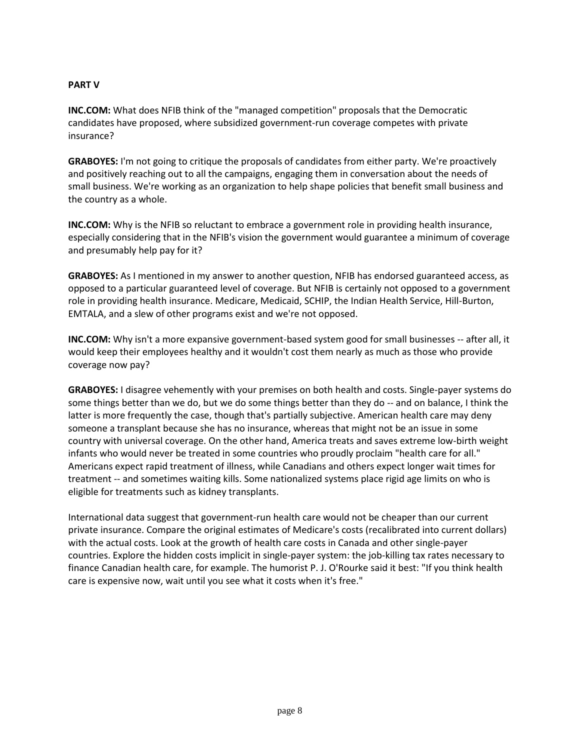## **PART V**

**INC.COM:** What does NFIB think of the "managed competition" proposals that the Democratic candidates have proposed, where subsidized government-run coverage competes with private insurance?

**GRABOYES:** I'm not going to critique the proposals of candidates from either party. We're proactively and positively reaching out to all the campaigns, engaging them in conversation about the needs of small business. We're working as an organization to help shape policies that benefit small business and the country as a whole.

**INC.COM:** Why is the NFIB so reluctant to embrace a government role in providing health insurance, especially considering that in the NFIB's vision the government would guarantee a minimum of coverage and presumably help pay for it?

**GRABOYES:** As I mentioned in my answer to another question, NFIB has endorsed guaranteed access, as opposed to a particular guaranteed level of coverage. But NFIB is certainly not opposed to a government role in providing health insurance. Medicare, Medicaid, SCHIP, the Indian Health Service, Hill-Burton, EMTALA, and a slew of other programs exist and we're not opposed.

**INC.COM:** Why isn't a more expansive government-based system good for small businesses -- after all, it would keep their employees healthy and it wouldn't cost them nearly as much as those who provide coverage now pay?

**GRABOYES:** I disagree vehemently with your premises on both health and costs. Single-payer systems do some things better than we do, but we do some things better than they do -- and on balance, I think the latter is more frequently the case, though that's partially subjective. American health care may deny someone a transplant because she has no insurance, whereas that might not be an issue in some country with universal coverage. On the other hand, America treats and saves extreme low-birth weight infants who would never be treated in some countries who proudly proclaim "health care for all." Americans expect rapid treatment of illness, while Canadians and others expect longer wait times for treatment -- and sometimes waiting kills. Some nationalized systems place rigid age limits on who is eligible for treatments such as kidney transplants.

International data suggest that government-run health care would not be cheaper than our current private insurance. Compare the original estimates of Medicare's costs (recalibrated into current dollars) with the actual costs. Look at the growth of health care costs in Canada and other single-payer countries. Explore the hidden costs implicit in single-payer system: the job-killing tax rates necessary to finance Canadian health care, for example. The humorist P. J. O'Rourke said it best: "If you think health care is expensive now, wait until you see what it costs when it's free."